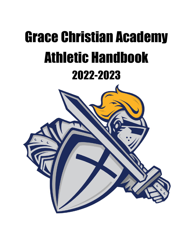# Grace Christian Academy Athletic Handbook 2022-2023

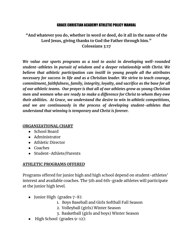#### GRACE CHRISTIAN ACADEMY ATHLETIC POLICY MANUAL

# **"And whatever you do, whether in word or deed, do it all in the name of the Lord Jesus, giving thanks to God the Father through him." Colossians 3:17**

*We value our sports programs as a tool to assist in developing well-rounded student-athletes in pursuit of wisdom and a deeper relationship with Christ. We believe that athletic participation can instill in young people all the attributes necessary for success in life and as a Christian leader. We strive to teach courage, commitment, faithfulness, family, integrity, loyalty, and sacrifice as the base for all of our athletic teams. Our prayer is that all of our athletes grow as young Christian men and women who are ready to make a difference for Christ to whom they owe their abilities. At Grace, we understand the desire to win in athletic competitions, and we are continuously in the process of developing student-athletes that understand that winning is temporary and Christ is forever.*

# **ORGANIZATIONAL CHART**

- School Board
- Administrator
- Athletic Director
- Coaches
- Student-Athlete/Parents

# **ATHLETIC PROGRAMS OFFERED**

Programs offered for junior high and high school depend on student-athletes' interest and available coaches. The 5th and 6th-grade athletes will participate at the junior high level.

- Junior High (grades 7-8):
	- 1. Boys Baseball and Girls Softball Fall Season
	- 2. Volleyball (girls) Winter Season
	- 3. Basketball (girls and boys) Winter Season
- High School (grades 9-12):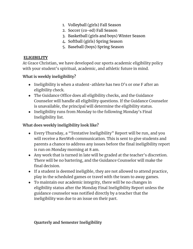- 1. Volleyball (girls) Fall Season
- 2. Soccer (co-ed) Fall Season
- 3. Basketball (girls and boys) Winter Season
- 4. Softball (girls) Spring Season
- 5. Baseball (boys) Spring Season

# **ELIGIBILITY**

At Grace Christian, we have developed our sports academic eligibility policy with your student's spiritual, academic, and athletic future in mind.

# **What is weekly ineligibility?**

- Ineligibility is when a student-athlete has two D's or one F after an eligibility check.
- The Guidance Office does all eligibility checks, and the Guidance Counselor will handle all eligibility questions. If the Guidance Counselor is unavailable, the principal will determine the eligibility status.
- Ineligibility runs from Monday to the following Monday's Final Ineligibility list.

# **What does weekly ineligibility look like?**

- Every Thursday, a "Tentative Ineligibility" Report will be run, and you will receive a RenWeb communication. This is sent to give students and parents a chance to address any issues before the final ineligibility report is run on Monday morning at 8 am.
- Any work that is turned in late will be graded at the teacher's discretion. There will be no bartering, and the Guidance Counselor will make the final decision.
- If a student is deemed ineligible, they are not allowed to attend practice, play in the scheduled games or travel with the team to away games.
- To maintain our academic integrity, there will be no changes in eligibility status after the Monday Final Ineligibility Report unless the guidance counselor was notified directly by a teacher that the ineligibility was due to an issue on their part.

# **Quarterly and Semester Ineligibility**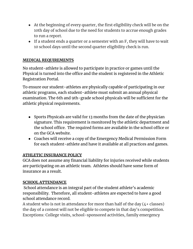- At the beginning of every quarter, the first eligibility check will be on the 10th day of school due to the need for students to accrue enough grades to run a report.
- If a student ends a quarter or a semester with an F, they will have to wait 10 school days until the second quarter eligibility check is run.

# **MEDICAL REQUIREMENTS**

No student-athlete is allowed to participate in practice or games until the Physical is turned into the office and the student is registered in the Athletic Registration Portal.

To ensure our student-athletes are physically capable of participating in our athletic programs, each student-athlete must submit an annual physical examination. The 6th and 9th-grade school physicals will be sufficient for the athletic physical requirements.

- Sports Physicals are valid for 13 months from the date of the physician signature. This requirement is monitored by the athletic department and the school office. The required forms are available in the school office or on the GCA website.
- Coaches will receive a copy of the Emergency Medical Permission Form for each student-athlete and have it available at all practices and games.

# **ATHLETIC INSURANCE POLICY**

GCA does not assume any financial liability for injuries received while students are participating on an athletic team. Athletes should have some form of insurance as a result.

# **SCHOOL ATTENDANCE**

School attendance is an integral part of the student athlete's academic responsibility. Therefore, all student-athletes are expected to have a good school attendance record.

A student who is not in attendance for more than half of the day  $(4 +$  classes) the day of a contest will not be eligible to compete in that day's competition. Exceptions: College visits, school-sponsored activities, family emergency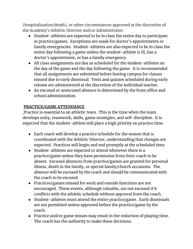(hospitalization/death), or other circumstances approved at the discretion of the Academy's Athletic Director and/or Administrator.

- Student-athletes are expected to be in class the entire day to participate in practice/games. Exceptions are made for doctor's appointments or family emergencies. Student-athletes are also expected to be in class the entire day following a game unless the student-athlete is ill, has a doctor's appointment, or has a family emergency.
- All class assignments are due as scheduled for the student-athletes on the day of the game and the day following the game. It is recommended that all assignments are submitted before leaving campus for classes missed due to early dismissal. Tests and quizzes scheduled during early release are administered at the discretion of the individual teacher.
- An excused or unexcused absence is determined by the front office and school administration.

# **PRACTICE/GAME ATTENDANCE**

Practice is essential to an athletic team. This is the time when the team develops unity, teamwork, skills, game strategies, and self-discipline. It is expected that the student-athlete will place a high priority on practice time.

- Each coach will develop a practice schedule for the season that is coordinated with the Athletic Director, understanding that changes are expected. Practices will begin and end promptly at the scheduled time.
- Student-athletes are expected to attend whenever there is a practice/game unless they have permission from their coach to be absent. Excused absences from practice/games are granted for personal illness, death in the family, or special family/church occasions. The absence will be excused by the coach and should be communicated with the coach to be excused.
- Practices/games missed for work and outside functions are not encouraged. These events, although valuable, are not excused if it conflicts with the athletic schedule without approval from the coach.
- Student-athletes must attend the entire practice/game. Early dismissals are not permitted unless approved before the practice/game by the coach.
- Practice and/or game misses may result in the reduction of playing time. The coach has the authority to make these decisions.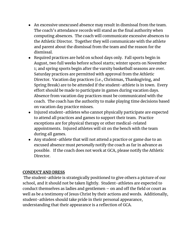- An excessive unexcused absence may result in dismissal from the team. The coach's attendance records will stand as the final authority when computing absences. The coach will communicate excessive absences to the Athletic Director. Together they will communicate with the athlete and parent about the dismissal from the team and the reason for the dismissal.
- Required practices are held on school days only. Fall sports begin in August, two full weeks before school starts; winter sports on November 1; and spring sports begin after the varsity basketball seasons are over. Saturday practices are permitted with approval from the Athletic Director. Vacation day practices (i.e., Christmas, Thanksgiving, and Spring Break) are to be attended if the student-athlete is in town. Every effort should be made to participate in games during vacation days. Absence from vacation day practices must be communicated with the coach. The coach has the authority to make playing time decisions based on vacation day practice misses.
- Injured student-athletes who cannot physically participate are expected to attend all practices and games to support their team. Practice exceptions are for physical therapy or other medical-related appointments. Injured athletes will sit on the bench with the team during all games.
- Any student-athlete that will not attend a practice or game due to an excused absence must *personally* notify the coach as far in advance as possible. If the coach does not work at GCA, please notify the Athletic Director.

#### **CONDUCT AND DRESS**

The student-athlete is strategically positioned to give others a picture of our school, and it should not be taken lightly. Student-athletes are expected to conduct themselves as ladies and gentlemen – on and off the field or court as well as be a testimony of Jesus Christ by their actions and words. Additionally, student-athletes should take pride in their personal appearance, understanding that their appearance is a reflection of GCA.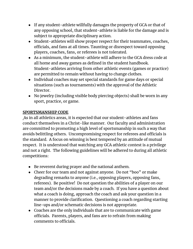- If any student-athlete willfully damages the property of GCA or that of any opposing school, that student-athlete is liable for the damage and is subject to appropriate disciplinary action.
- Student-athletes will show proper respect for their teammates, coaches, officials, and fans at all times. Taunting or disrespect toward opposing players, coaches, fans, or referees is not tolerated.
- As a minimum, the student-athlete will adhere to the GCA dress code at all home and away games as defined in the student handbook. Student-athletes arriving from other athletic events (games or practice) are permitted to remain without having to change clothes.
- Individual coaches may set special standards for game days or special situations (such as tournaments) with the approval of the Athletic Director.
- No jewelry (including visible body piercing objects) shall be worn in any sport, practice, or game.

# **SPORTSMANSHIP CODE**

As in all athletics areas, it is expected that our student-athletes and fans conduct themselves in a Christ-like manner. Our faculty and administration are committed to promoting a high level of sportsmanship in such a way that avoids belittling others. Uncompromising respect for referees and officials is the standard. A focus on winning is best tempered by an attitude of mutual respect. It is understood that watching any GCA athletic contest is a privilege and not a right. The following guidelines will be adhered to during all athletic competitions:

- Be reverent during prayer and the national anthem.
- Cheer for our team and not against anyone. Do not "boo" or make degrading remarks to anyone (i.e., opposing players, opposing fans, referees). Be positive! Do not question the abilities of a player on our team and/or the decisions made by a coach. If you have a question about what a coach is doing, approach the coach and ask your question in a manner to provide clarification. Questioning a coach regarding starting line-ups and/or schematic decisions is not appropriate.
- Coaches are the only individuals that are to communicate with game officials. Parents, players, and fans are to refrain from making comments to officials.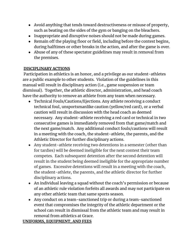- Avoid anything that tends toward destructiveness or misuse of property, such as beating on the sides of the gym or banging on the bleachers.
- Inappropriate and disruptive noises should not be made during games.
- Remain off the playing floor or field, including before the contest begins, during halftimes or other breaks in the action, and after the game is over.
- Abuse of any of these spectator guidelines may result in removal from the premises.

# **DISCIPLINARY ACTIONS**

Participation in athletics is an honor, and a privilege as our student-athletes are a public example to other students. Violation of the guidelines in this manual will result in disciplinary action (i.e., game suspension or team dismissal). Together, the athletic director, administration, and head coach have the authority to remove an athlete from any team when necessary.

- Technical Fouls/Cautions/Ejections. Any athlete receiving a conduct technical foul, unsportsmanlike caution (yellow/red card), or a verbal caution will result in discussion with the head coach as deemed necessary. Any student-athlete receiving a red card or technical in two consecutive games is immediately removed from that game/match and the next game/match. Any additional conduct fouls/cautions will result in a meeting with the coach, the student-athlete, the parents, and the Athletic Director for further disciplinary actions.
- Any student-athlete receiving two detentions in a semester (other than for tardies) will be deemed ineligible for the next contest their team competes. Each subsequent detention after the second detention will result in the student being deemed ineligible for the appropriate number of games. Excessive detentions will result in a meeting with the coach, the student-athlete, the parents, and the athletic director for further disciplinary actions.
- An individual leaving a squad without the coach's permission or because of an athletic rule violation forfeits all awards and may not participate on any other athletic team that same sports season.
- Any conduct on a team-sanctioned trip or during a team-sanctioned event that compromises the integrity of the athletic department or the school can result in dismissal from the athletic team and may result in removal from athletics at Grace.

# **UNIFORMS, EQUIPMENT, AND FEES**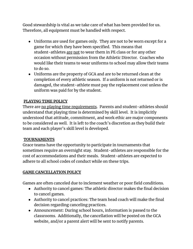Good stewardship is vital as we take care of what has been provided for us. Therefore, all equipment must be handled with respect.

- Uniforms are used for games only. They are not to be worn except for a game for which they have been specified. This means that student-athletes are not to wear them in PE class or for any other occasion without permission from the Athletic Director. Coaches who would like their teams to wear uniforms to school may allow their teams to do so.
- Uniforms are the property of GCA and are to be returned clean at the completion of every athletic season. If a uniform is not returned or is damaged, the student-athlete must pay the replacement cost unless the uniform was paid for by the student.

# **PLAYING TIME POLICY**

There are no playing time requirements. Parents and student-athletes should understand that playing time is determined by skill level. It is implicitly understood that attitude, commitment, and work ethic are major components to be considered as well. It is left to the coach's discretion as they build their team and each player's skill level is developed.

# **TOURNAMENTS**

Grace teams have the opportunity to participate in tournaments that sometimes require an overnight stay. Student-athletes are responsible for the cost of accommodations and their meals. Student-athletes are expected to adhere to all school codes of conduct while on these trips.

# **GAME CANCELLATION POLICY**

Games are often canceled due to inclement weather or poor field conditions.

- Authority to cancel games: The athletic director makes the final decision to cancel games.
- Authority to cancel practices: The team head coach will make the final decision regarding canceling practices.
- Announcement: During school hours, information is passed to the classrooms. Additionally, the cancellation will be posted on the GCA website, and/or a parent alert will be sent to notify parents.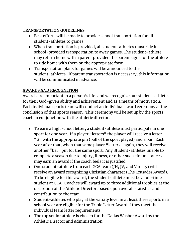# **TRANSPORTATION GUIDELINES**

- Best efforts will be made to provide school transportation for all student-athletes to games.
- When transportation is provided, all student-athletes must ride in school-provided transportation to away games. The student-athlete may return home with a parent provided the parent signs for the athlete to ride home with them on the appropriate form.
- Transportation plans for games will be announced to the student-athletes. If parent transportation is necessary, this information will be communicated in advance.

# **AWARDS AND RECOGNITION**

·

Awards are important in a person's life, and we recognize our student-athletes for their God-given ability and achievement and as a means of motivation. Each individual sports team will conduct an individual award ceremony at the conclusion of that sports season. This ceremony will be set up by the sports coach in conjunction with the athletic director.

- To earn a high school letter, a student-athlete must participate in one sport for one year. If a player "letters" the player will receive a letter "G" with the appropriate pin (ball of the sport played) and a bar. Each year after that, when that same player "letters" again, they will receive another "bar" pin for the same sport. Any Student-athletes unable to complete a season due to injury, illness, or other such circumstances may earn an award if the coach feels it is justified.
- One student-athlete from each GCA team (JH, JV, and Varsity) will receive an award recognizing Christian character (The Crusader Award). To be eligible for this award, the student-athlete must be a full-time student at GCA. Coaches will award up to three additional trophies at the discretion of the Athletic Director, based upon overall statistics and contribution to the team.
- Student-athletes who play at the varsity level in at least three sports in a school year are eligible for the Triple Letter Award if they meet the individual team letter requirements.
- The top senior athlete is chosen for the Dallas Washer Award by the Athletic Director and Administration.